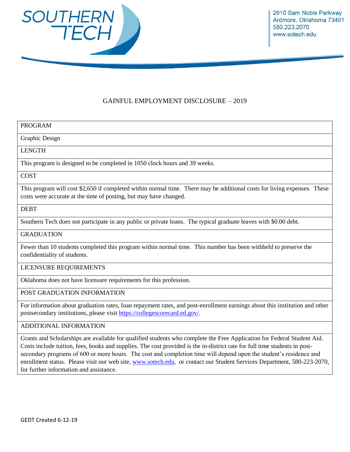

## GAINFUL EMPLOYMENT DISCLOSURE – 2019

### PROGRAM

Graphic Design

#### LENGTH

This program is designed to be completed in 1050 clock hours and 39 weeks.

### **COST**

This program will cost \$2,650 if completed within normal time. There may be additional costs for living expenses. These costs were accurate at the time of posting, but may have changed.

#### DEBT

Southern Tech does not participate in any public or private loans. The typical graduate leaves with \$0.00 debt.

#### **GRADUATION**

Fewer than 10 students completed this program within normal time. This number has been withheld to preserve the confidentiality of students.

#### LICENSURE REQUIREMENTS

Oklahoma does not have licensure requirements for this profession.

#### POST GRADUATION INFORMATION

For information about graduation rates, loan repayment rates, and post-enrollment earnings about this institution and other postsecondary institutions, please visit [https://collegescorecard.ed.gov/.](https://collegescorecard.ed.gov/)

#### ADDITIONAL INFORMATION

Grants and Scholarships are available for qualified students who complete the Free Application for Federal Student Aid. Costs include tuition, fees, books and supplies. The cost provided is the in-district rate for full time students in postsecondary programs of 600 or more hours. The cost and completion time will depend upon the student's residence and enrollment status. Please visit our web site, [www.sotech.edu,](http://www.sotech.edu/) or contact our Student Services Department, 580-223-2070, for further information and assistance.